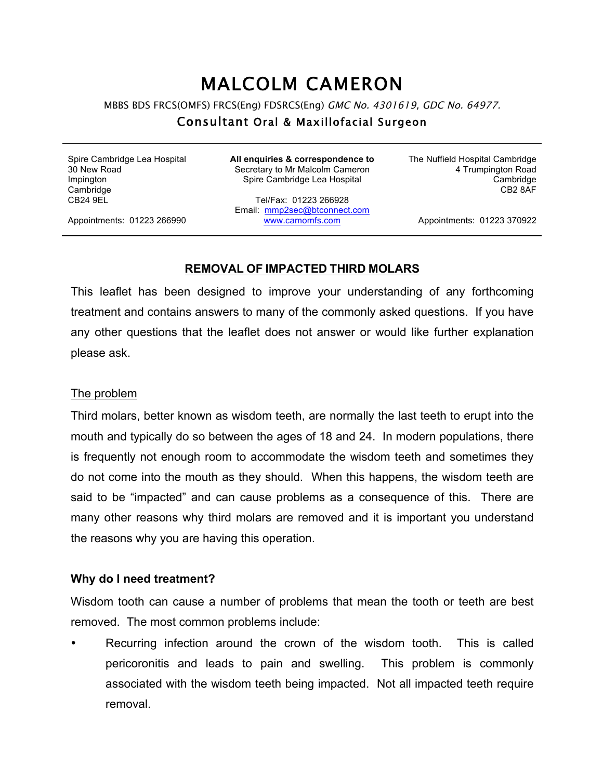# MALCOLM CAMERON

MBBS BDS FRCS(OMFS) FRCS(Eng) FDSRCS(Eng) GMC No. 4301619, GDC No. 64977.

## Consultant Oral & Maxillofacial Surgeon

Spire Cambridge Lea Hospital 30 New Road Impington **Cambridge** CB24 9EL

**All enquiries & correspondence to** Secretary to Mr Malcolm Cameron Spire Cambridge Lea Hospital

Tel/Fax: 01223 266928 Email: mmp2sec@btconnect.com www.camomfs.com

The Nuffield Hospital Cambridge 4 Trumpington Road Cambridge CB2 8AF

Appointments: 01223 266990

Appointments: 01223 370922

#### **REMOVAL OF IMPACTED THIRD MOLARS**

This leaflet has been designed to improve your understanding of any forthcoming treatment and contains answers to many of the commonly asked questions. If you have any other questions that the leaflet does not answer or would like further explanation please ask.

#### The problem

Third molars, better known as wisdom teeth, are normally the last teeth to erupt into the mouth and typically do so between the ages of 18 and 24. In modern populations, there is frequently not enough room to accommodate the wisdom teeth and sometimes they do not come into the mouth as they should. When this happens, the wisdom teeth are said to be "impacted" and can cause problems as a consequence of this. There are many other reasons why third molars are removed and it is important you understand the reasons why you are having this operation.

## **Why do I need treatment?**

Wisdom tooth can cause a number of problems that mean the tooth or teeth are best removed. The most common problems include:

Recurring infection around the crown of the wisdom tooth. This is called pericoronitis and leads to pain and swelling. This problem is commonly associated with the wisdom teeth being impacted. Not all impacted teeth require removal.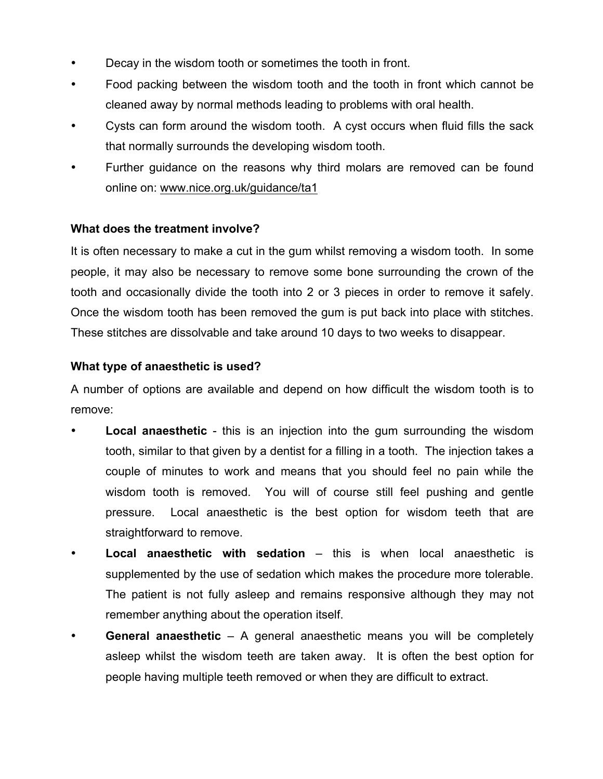- Decay in the wisdom tooth or sometimes the tooth in front.
- Food packing between the wisdom tooth and the tooth in front which cannot be cleaned away by normal methods leading to problems with oral health.
- Cysts can form around the wisdom tooth. A cyst occurs when fluid fills the sack that normally surrounds the developing wisdom tooth.
- Further guidance on the reasons why third molars are removed can be found online on: www.nice.org.uk/guidance/ta1

# **What does the treatment involve?**

It is often necessary to make a cut in the gum whilst removing a wisdom tooth. In some people, it may also be necessary to remove some bone surrounding the crown of the tooth and occasionally divide the tooth into 2 or 3 pieces in order to remove it safely. Once the wisdom tooth has been removed the gum is put back into place with stitches. These stitches are dissolvable and take around 10 days to two weeks to disappear.

# **What type of anaesthetic is used?**

A number of options are available and depend on how difficult the wisdom tooth is to remove:

- **Local anaesthetic** this is an injection into the gum surrounding the wisdom tooth, similar to that given by a dentist for a filling in a tooth. The injection takes a couple of minutes to work and means that you should feel no pain while the wisdom tooth is removed. You will of course still feel pushing and gentle pressure. Local anaesthetic is the best option for wisdom teeth that are straightforward to remove.
- **Local anaesthetic with sedation**  this is when local anaesthetic is supplemented by the use of sedation which makes the procedure more tolerable. The patient is not fully asleep and remains responsive although they may not remember anything about the operation itself.
- **General anaesthetic** A general anaesthetic means you will be completely asleep whilst the wisdom teeth are taken away. It is often the best option for people having multiple teeth removed or when they are difficult to extract.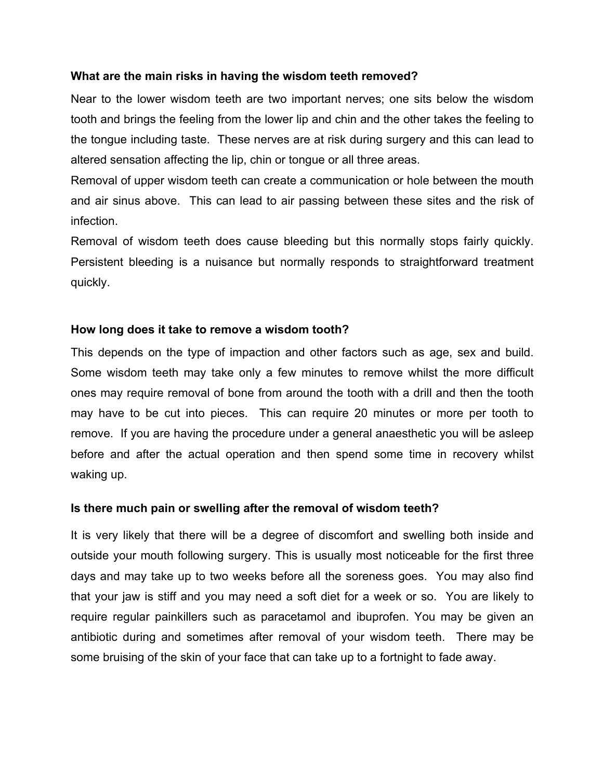## **What are the main risks in having the wisdom teeth removed?**

Near to the lower wisdom teeth are two important nerves; one sits below the wisdom tooth and brings the feeling from the lower lip and chin and the other takes the feeling to the tongue including taste. These nerves are at risk during surgery and this can lead to altered sensation affecting the lip, chin or tongue or all three areas.

Removal of upper wisdom teeth can create a communication or hole between the mouth and air sinus above. This can lead to air passing between these sites and the risk of infection.

Removal of wisdom teeth does cause bleeding but this normally stops fairly quickly. Persistent bleeding is a nuisance but normally responds to straightforward treatment quickly.

## **How long does it take to remove a wisdom tooth?**

This depends on the type of impaction and other factors such as age, sex and build. Some wisdom teeth may take only a few minutes to remove whilst the more difficult ones may require removal of bone from around the tooth with a drill and then the tooth may have to be cut into pieces. This can require 20 minutes or more per tooth to remove. If you are having the procedure under a general anaesthetic you will be asleep before and after the actual operation and then spend some time in recovery whilst waking up.

## **Is there much pain or swelling after the removal of wisdom teeth?**

It is very likely that there will be a degree of discomfort and swelling both inside and outside your mouth following surgery. This is usually most noticeable for the first three days and may take up to two weeks before all the soreness goes. You may also find that your jaw is stiff and you may need a soft diet for a week or so. You are likely to require regular painkillers such as paracetamol and ibuprofen. You may be given an antibiotic during and sometimes after removal of your wisdom teeth. There may be some bruising of the skin of your face that can take up to a fortnight to fade away.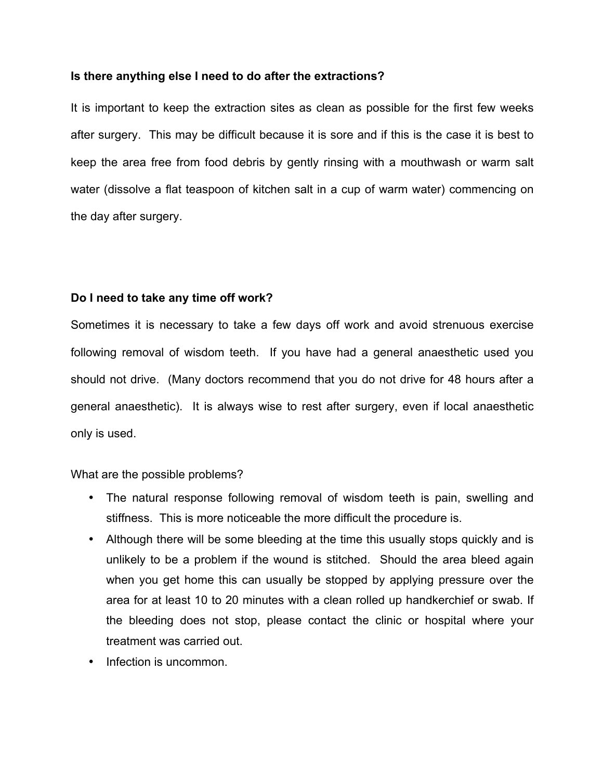#### **Is there anything else I need to do after the extractions?**

It is important to keep the extraction sites as clean as possible for the first few weeks after surgery. This may be difficult because it is sore and if this is the case it is best to keep the area free from food debris by gently rinsing with a mouthwash or warm salt water (dissolve a flat teaspoon of kitchen salt in a cup of warm water) commencing on the day after surgery.

#### **Do I need to take any time off work?**

Sometimes it is necessary to take a few days off work and avoid strenuous exercise following removal of wisdom teeth. If you have had a general anaesthetic used you should not drive. (Many doctors recommend that you do not drive for 48 hours after a general anaesthetic). It is always wise to rest after surgery, even if local anaesthetic only is used.

#### What are the possible problems?

- The natural response following removal of wisdom teeth is pain, swelling and stiffness. This is more noticeable the more difficult the procedure is.
- Although there will be some bleeding at the time this usually stops quickly and is unlikely to be a problem if the wound is stitched. Should the area bleed again when you get home this can usually be stopped by applying pressure over the area for at least 10 to 20 minutes with a clean rolled up handkerchief or swab. If the bleeding does not stop, please contact the clinic or hospital where your treatment was carried out.
- Infection is uncommon.